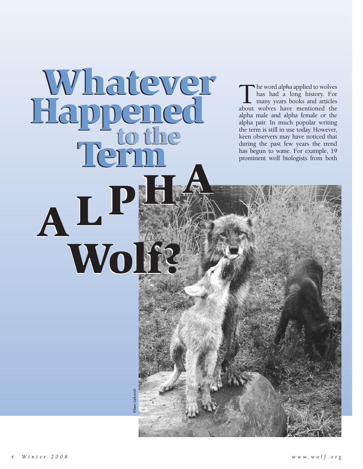**The word** *alpha* **applied to wolves**<br>has had a long history. For<br>many years books and articles<br>about wolves have mentioned the has had a long history. For many years books and articles alpha male and alpha female or the alpha pair. In much popular writing the term is still in use today. However, keen observers may have noticed that during the past few years the trend has begun to wane. For example, 19 prominent wolf biologists from both

**Wolf?**

**Wolf?**

**HA <sup>P</sup> AL HA <sup>P</sup>**

**AL**

**Whatever**

**Whatever**

**Happened to the Term**

**Happened to the Term**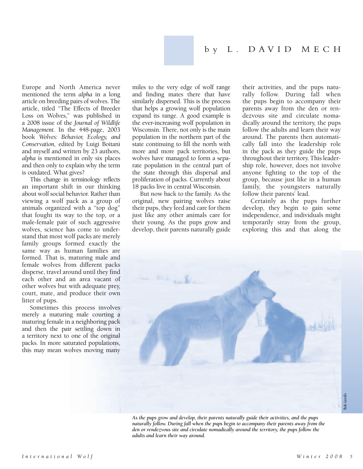Europe and North America never mentioned the term *alpha* in a long article on breeding pairs of wolves. The article, titled "The Effects of Breeder Loss on Wolves," was published in a 2008 issue of the *Journal of Wildlife Management.* In the 448-page, 2003 book *Wolves: Behavior, Ecology, and Conservation,* edited by Luigi Boitani and myself and written by 23 authors, *alpha* is mentioned in only six places and then only to explain why the term is outdated. What gives?

This change in terminology reflects an important shift in our thinking about wolf social behavior. Rather than viewing a wolf pack as a group of animals organized with a "top dog" that fought its way to the top, or a male-female pair of such aggressive wolves, science has come to understand that most wolf packs are merely family groups formed exactly the same way as human families are formed. That is, maturing male and female wolves from different packs disperse, travel around until they find each other and an area vacant of other wolves but with adequate prey, court, mate, and produce their own litter of pups.

Sometimes this process involves merely a maturing male courting a maturing female in a neighboring pack and then the pair settling down in a territory next to one of the original packs. In more saturated populations, this may mean wolves moving many miles to the very edge of wolf range and finding mates there that have similarly dispersed. This is the process that helps a growing wolf population expand its range. A good example is the ever-increasing wolf population in Wisconsin. There, not only is the main population in the northern part of the state continuing to fill the north with more and more pack territories, but wolves have managed to form a separate population in the central part of the state through this dispersal and proliferation of packs. Currently about 18 packs live in central Wisconsin.

But now back to the family. As the original, new pairing wolves raise their pups, they feed and care for them just like any other animals care for their young. As the pups grow and develop, their parents naturally guide their activities, and the pups naturally follow. During fall when the pups begin to accompany their parents away from the den or rendezvous site and circulate nomadically around the territory, the pups follow the adults and learn their way around. The parents then automatically fall into the leadership role in the pack as they guide the pups throughout their territory. This leadership role, however, does not involve anyone fighting to the top of the group, because just like in a human family, the youngsters naturally follow their parents' lead.

Certainly as the pups further develop, they begin to gain some independence, and individuals might temporarily stray from the group, exploring this and that along the



*As the pups grow and develop, their parents naturally guide their activities, and the pups naturally follow. During fall when the pups begin to accompany their parents away from the den or rendezvous site and circulate nomadically around the territory, the pups follow the adults and learn their way around.*

Bob Landis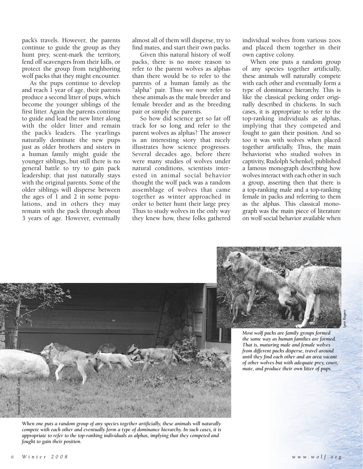pack's travels. However, the parents continue to guide the group as they hunt prey, scent-mark the territory, fend off scavengers from their kills, or protect the group from neighboring wolf packs that they might encounter.

As the pups continue to develop and reach 1 year of age, their parents produce a second litter of pups, which become the younger siblings of the first litter. Again the parents continue to guide and lead the new litter along with the older litter and remain the pack's leaders. The yearlings naturally dominate the new pups just as older brothers and sisters in a human family might guide the younger siblings, but still there is no general battle to try to gain pack leadership; that just naturally stays with the original parents. Some of the older siblings will disperse between the ages of 1 and 2 in some populations, and in others they may remain with the pack through about 3 years of age. However, eventually almost all of them will disperse, try to find mates, and start their own packs.

Given this natural history of wolf packs, there is no more reason to refer to the parent wolves as alphas than there would be to refer to the parents of a human family as the "alpha" pair. Thus we now refer to these animals as the male breeder and female breeder and as the breeding pair or simply the parents.

So how did science get so far off track for so long and refer to the parent wolves as alphas? The answer is an interesting story that nicely illustrates how science progresses. Several decades ago, before there were many studies of wolves under natural conditions, scientists interested in animal social behavior thought the wolf pack was a random assemblage of wolves that came together as winter approached in order to better hunt their large prey. Thus to study wolves in the only way they knew how, these folks gathered individual wolves from various zoos and placed them together in their own captive colony.

When one puts a random group of any species together artificially, these animals will naturally compete with each other and eventually form a type of dominance hierarchy. This is like the classical pecking order originally described in chickens. In such cases, it is appropriate to refer to the top-ranking individuals as alphas, implying that they competed and fought to gain their position. And so too it was with wolves when placed together artificially. Thus, the main behaviorist who studied wolves in captivity, Rudolph Schenkel, published a famous monograph describing how wolves interact with each other in such a group, asserting then that there is a top-ranking male and a top-ranking female in packs and referring to them as the alphas. This classical monograph was the main piece of literature on wolf social behavior available when



*When one puts a random group of any species together artificially, these animals will naturally compete with each other and eventually form a type of dominance hierarchy. In such cases, it is appropriate to refer to the top-ranking individuals as alphas, implying that they competed and fought to gain their position.*



*Most wolf packs are family groups formed the same way as human families are formed. That is, maturing male and female wolves from different packs disperse, travel around until they find each other and an area vacant of other wolves but with adequate prey, court, mate, and produce their own litter of pups.*

Lynn Rogers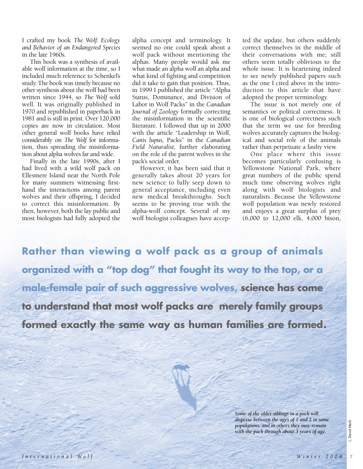I crafted my book *The Wolf: Ecology and Behavior of an Endangered Species* in the late 1960s.

This book was a synthesis of available wolf information at the time, so I included much reference to Schenkel's study. The book was timely because no other synthesis about the wolf had been written since 1944, so *The Wolf* sold well. It was originally published in 1970 and republished in paperback in 1981 and is still in print. Over 120,000 copies are now in circulation. Most other general wolf books have relied considerably on *The Wolf* for information, thus spreading the misinformation about alpha wolves far and wide.

Finally in the late 1990s, after I had lived with a wild wolf pack on Ellesmere Island near the North Pole for many summers witnessing firsthand the interactions among parent wolves and their offspring, I decided to correct this misinformation. By then, however, both the lay public and most biologists had fully adopted the alpha concept and terminology. It seemed no one could speak about a wolf pack without mentioning the alphas. Many people would ask me what made an alpha wolf an alpha and what kind of fighting and competition did it take to gain that position. Thus, in 1999 I published the article "Alpha Status, Dominance, and Division of Labor in Wolf Packs" in the *Canadian Journal of Zoology* formally correcting the misinformation in the scientific literature. I followed that up in 2000 with the article "Leadership in Wolf, *Canis lupus,* Packs" in the *Canadian Field Naturalist,* further elaborating on the role of the parent wolves in the pack's social order.

However, it has been said that it generally takes about 20 years for new science to fully seep down to general acceptance, including even new medical breakthroughs. Such seems to be proving true with the alpha-wolf concept. Several of my wolf biologist colleagues have accepted the update, but others suddenly correct themselves in the middle of their conversations with me; still others seem totally oblivious to the whole issue. It is heartening indeed to see newly published papers such as the one I cited above in the introduction to this article that have adopted the proper terminology.

The issue is not merely one of semantics or political correctness. It is one of biological correctness such that the term we use for breeding wolves accurately captures the biological and social role of the animals rather than perpetuate a faulty view.

One place where this issue becomes particularly confusing is Yellowstone National Park, where great numbers of the public spend much time observing wolves right along with wolf biologists and naturalists. Because the Yellowstone wolf population was newly restored and enjoys a great surplus of prey (6,000 to 12,000 elk, 4,000 bison,

**Rather than viewing a wolf pack as a group of animals organized with a "top dog" that fought its way to the top, or a male-female pair of such aggressive wolves, science has come to understand that most wolf packs are merely family groups formed exactly the same way as human families are formed .**

> *Some of the older siblings in a pack will disperse between the ages of 1 and 2 in some populations, and in others they may remain with the pack through about 3 years of age.*